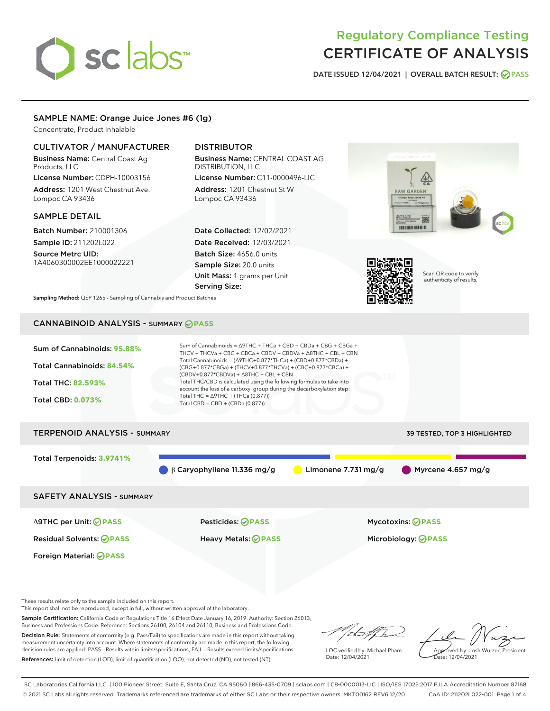# sclabs<sup>\*</sup>

# Regulatory Compliance Testing CERTIFICATE OF ANALYSIS

DATE ISSUED 12/04/2021 | OVERALL BATCH RESULT: @ PASS

# SAMPLE NAME: Orange Juice Jones #6 (1g)

Concentrate, Product Inhalable

# CULTIVATOR / MANUFACTURER

Business Name: Central Coast Ag Products, LLC License Number: CDPH-10003156

Address: 1201 West Chestnut Ave. Lompoc CA 93436

## SAMPLE DETAIL

Batch Number: 210001306 Sample ID: 211202L022

Source Metrc UID: 1A4060300002EE1000022221

# DISTRIBUTOR

Business Name: CENTRAL COAST AG DISTRIBUTION, LLC License Number: C11-0000496-LIC

Address: 1201 Chestnut St W Lompoc CA 93436

Date Collected: 12/02/2021 Date Received: 12/03/2021 Batch Size: 4656.0 units Sample Size: 20.0 units Unit Mass: 1 grams per Unit Serving Size:





Scan QR code to verify authenticity of results.

Sampling Method: QSP 1265 - Sampling of Cannabis and Product Batches

# CANNABINOID ANALYSIS - SUMMARY **PASS**

| Sum of Cannabinoids: 95.88%<br>Total Cannabinoids: 84.54%<br><b>Total THC: 82.593%</b><br><b>Total CBD: 0.073%</b> | Sum of Cannabinoids = $\triangle$ 9THC + THCa + CBD + CBDa + CBG + CBGa +<br>THCV + THCVa + CBC + CBCa + CBDV + CBDVa + $\Delta$ 8THC + CBL + CBN<br>Total Cannabinoids = $(\Delta$ 9THC+0.877*THCa) + (CBD+0.877*CBDa) +<br>$(CBG+0.877*CBGa) + (THCV+0.877*THCVa) + (CBC+0.877*CBCa) +$<br>$(CBDV+0.877*CBDVa) + \Delta 8THC + CBL + CBN$<br>Total THC/CBD is calculated using the following formulas to take into<br>account the loss of a carboxyl group during the decarboxylation step:<br>Total THC = $\triangle$ 9THC + (THCa (0.877))<br>Total CBD = $CBD + (CBDa (0.877))$ |                                     |
|--------------------------------------------------------------------------------------------------------------------|--------------------------------------------------------------------------------------------------------------------------------------------------------------------------------------------------------------------------------------------------------------------------------------------------------------------------------------------------------------------------------------------------------------------------------------------------------------------------------------------------------------------------------------------------------------------------------------|-------------------------------------|
| <b>TERPENOID ANALYSIS - SUMMARY</b>                                                                                |                                                                                                                                                                                                                                                                                                                                                                                                                                                                                                                                                                                      | <b>39 TESTED, TOP 3 HIGHLIGHTED</b> |
| Total Terpenoids: 3.9741%                                                                                          | $\beta$ Caryophyllene 11.336 mg/g<br>Limonene 7.731 mg/g                                                                                                                                                                                                                                                                                                                                                                                                                                                                                                                             | Myrcene $4.657$ mg/g                |

SAFETY ANALYSIS - SUMMARY

Δ9THC per Unit: **PASS** Pesticides: **PASS** Mycotoxins: **PASS**

Foreign Material: **PASS**

Residual Solvents: **PASS** Heavy Metals: **PASS** Microbiology: **PASS**

These results relate only to the sample included on this report.

This report shall not be reproduced, except in full, without written approval of the laboratory.

Sample Certification: California Code of Regulations Title 16 Effect Date January 16, 2019. Authority: Section 26013, Business and Professions Code. Reference: Sections 26100, 26104 and 26110, Business and Professions Code.

Decision Rule: Statements of conformity (e.g. Pass/Fail) to specifications are made in this report without taking measurement uncertainty into account. Where statements of conformity are made in this report, the following decision rules are applied: PASS – Results within limits/specifications, FAIL – Results exceed limits/specifications. References: limit of detection (LOD), limit of quantification (LOQ), not detected (ND), not tested (NT)

that f ha

LQC verified by: Michael Pham Date: 12/04/2021

Approved by: Josh Wurzer, President ate: 12/04/2021

SC Laboratories California LLC. | 100 Pioneer Street, Suite E, Santa Cruz, CA 95060 | 866-435-0709 | sclabs.com | C8-0000013-LIC | ISO/IES 17025:2017 PJLA Accreditation Number 87168 © 2021 SC Labs all rights reserved. Trademarks referenced are trademarks of either SC Labs or their respective owners. MKT00162 REV6 12/20 CoA ID: 211202L022-001 Page 1 of 4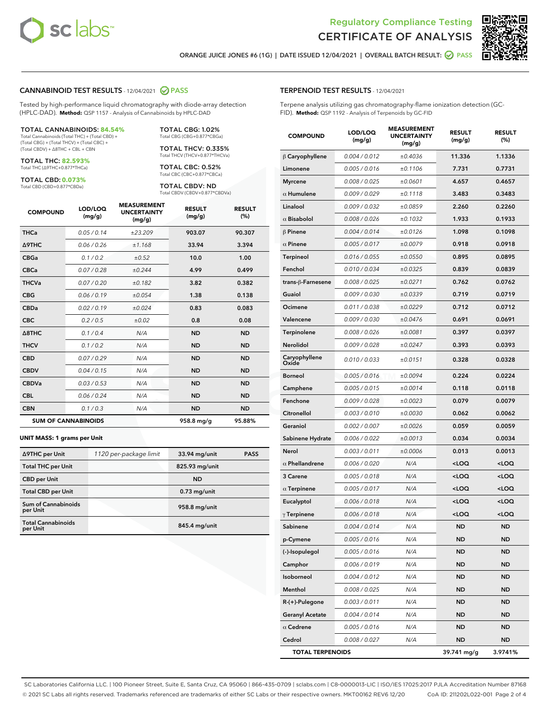



ORANGE JUICE JONES #6 (1G) | DATE ISSUED 12/04/2021 | OVERALL BATCH RESULT: @ PASS

#### CANNABINOID TEST RESULTS - 12/04/2021 2 PASS

Tested by high-performance liquid chromatography with diode-array detection (HPLC-DAD). **Method:** QSP 1157 - Analysis of Cannabinoids by HPLC-DAD

#### TOTAL CANNABINOIDS: **84.54%**

Total Cannabinoids (Total THC) + (Total CBD) + (Total CBG) + (Total THCV) + (Total CBC) + (Total CBDV) + ∆8THC + CBL + CBN

TOTAL THC: **82.593%** Total THC (∆9THC+0.877\*THCa)

TOTAL CBD: **0.073%**

Total CBD (CBD+0.877\*CBDa)

TOTAL CBG: 1.02% Total CBG (CBG+0.877\*CBGa)

TOTAL THCV: 0.335% Total THCV (THCV+0.877\*THCVa)

TOTAL CBC: 0.52% Total CBC (CBC+0.877\*CBCa)

TOTAL CBDV: ND Total CBDV (CBDV+0.877\*CBDVa)

| <b>COMPOUND</b>            | LOD/LOQ<br>(mg/g) | <b>MEASUREMENT</b><br><b>UNCERTAINTY</b><br>(mg/g) | <b>RESULT</b><br>(mg/g) | <b>RESULT</b><br>(%) |
|----------------------------|-------------------|----------------------------------------------------|-------------------------|----------------------|
| <b>THCa</b>                | 0.05/0.14         | ±23.209                                            | 903.07                  | 90.307               |
| <b>A9THC</b>               | 0.06 / 0.26       | ±1.168                                             | 33.94                   | 3.394                |
| <b>CBGa</b>                | 0.1/0.2           | $\pm 0.52$                                         | 10.0                    | 1.00                 |
| <b>CBCa</b>                | 0.07/0.28         | ±0.244                                             | 4.99                    | 0.499                |
| <b>THCVa</b>               | 0.07/0.20         | ±0.182                                             | 3.82                    | 0.382                |
| <b>CBG</b>                 | 0.06/0.19         | ±0.054                                             | 1.38                    | 0.138                |
| <b>CBDa</b>                | 0.02/0.19         | ±0.024                                             | 0.83                    | 0.083                |
| <b>CBC</b>                 | 0.2 / 0.5         | ±0.02                                              | 0.8                     | 0.08                 |
| $\triangle$ 8THC           | 0.1/0.4           | N/A                                                | <b>ND</b>               | <b>ND</b>            |
| <b>THCV</b>                | 0.1/0.2           | N/A                                                | <b>ND</b>               | <b>ND</b>            |
| <b>CBD</b>                 | 0.07/0.29         | N/A                                                | <b>ND</b>               | <b>ND</b>            |
| <b>CBDV</b>                | 0.04 / 0.15       | N/A                                                | <b>ND</b>               | <b>ND</b>            |
| <b>CBDVa</b>               | 0.03/0.53         | N/A                                                | <b>ND</b>               | <b>ND</b>            |
| <b>CBL</b>                 | 0.06 / 0.24       | N/A                                                | <b>ND</b>               | <b>ND</b>            |
| <b>CBN</b>                 | 0.1/0.3           | N/A                                                | <b>ND</b>               | <b>ND</b>            |
| <b>SUM OF CANNABINOIDS</b> |                   |                                                    | 958.8 mg/g              | 95.88%               |

#### **UNIT MASS: 1 grams per Unit**

| ∆9THC per Unit                        | 1120 per-package limit | 33.94 mg/unit  | <b>PASS</b> |
|---------------------------------------|------------------------|----------------|-------------|
| <b>Total THC per Unit</b>             |                        | 825.93 mg/unit |             |
| <b>CBD</b> per Unit                   |                        | <b>ND</b>      |             |
| <b>Total CBD per Unit</b>             |                        | $0.73$ mg/unit |             |
| Sum of Cannabinoids<br>per Unit       |                        | 958.8 mg/unit  |             |
| <b>Total Cannabinoids</b><br>per Unit |                        | 845.4 mg/unit  |             |

#### TERPENOID TEST RESULTS - 12/04/2021

Terpene analysis utilizing gas chromatography-flame ionization detection (GC-FID). **Method:** QSP 1192 - Analysis of Terpenoids by GC-FID

| <b>COMPOUND</b>         | LOD/LOQ<br>(mg/g) | <b>MEASUREMENT</b><br><b>UNCERTAINTY</b><br>(mg/g) | <b>RESULT</b><br>(mg/g)                         | <b>RESULT</b><br>$(\%)$ |
|-------------------------|-------------------|----------------------------------------------------|-------------------------------------------------|-------------------------|
| $\beta$ Caryophyllene   | 0.004 / 0.012     | ±0.4036                                            | 11.336                                          | 1.1336                  |
| Limonene                | 0.005 / 0.016     | ±0.1106                                            | 7.731                                           | 0.7731                  |
| <b>Myrcene</b>          | 0.008 / 0.025     | ±0.0601                                            | 4.657                                           | 0.4657                  |
| $\alpha$ Humulene       | 0.009/0.029       | ±0.1118                                            | 3.483                                           | 0.3483                  |
| Linalool                | 0.009 / 0.032     | ±0.0859                                            | 2.260                                           | 0.2260                  |
| $\alpha$ Bisabolol      | 0.008 / 0.026     | ±0.1032                                            | 1.933                                           | 0.1933                  |
| $\beta$ Pinene          | 0.004 / 0.014     | ±0.0126                                            | 1.098                                           | 0.1098                  |
| $\alpha$ Pinene         | 0.005 / 0.017     | ±0.0079                                            | 0.918                                           | 0.0918                  |
| Terpineol               | 0.016 / 0.055     | ±0.0550                                            | 0.895                                           | 0.0895                  |
| Fenchol                 | 0.010 / 0.034     | ±0.0325                                            | 0.839                                           | 0.0839                  |
| trans-β-Farnesene       | 0.008 / 0.025     | ±0.0271                                            | 0.762                                           | 0.0762                  |
| Guaiol                  | 0.009 / 0.030     | ±0.0339                                            | 0.719                                           | 0.0719                  |
| Ocimene                 | 0.011 / 0.038     | ±0.0229                                            | 0.712                                           | 0.0712                  |
| Valencene               | 0.009 / 0.030     | ±0.0476                                            | 0.691                                           | 0.0691                  |
| Terpinolene             | 0.008 / 0.026     | ±0.0081                                            | 0.397                                           | 0.0397                  |
| <b>Nerolidol</b>        | 0.009 / 0.028     | ±0.0247                                            | 0.393                                           | 0.0393                  |
| Caryophyllene<br>Oxide  | 0.010 / 0.033     | ±0.0151                                            | 0.328                                           | 0.0328                  |
| <b>Borneol</b>          | 0.005 / 0.016     | ±0.0094                                            | 0.224                                           | 0.0224                  |
| Camphene                | 0.005 / 0.015     | ±0.0014                                            | 0.118                                           | 0.0118                  |
| Fenchone                | 0.009 / 0.028     | ±0.0023                                            | 0.079                                           | 0.0079                  |
| Citronellol             | 0.003 / 0.010     | ±0.0030                                            | 0.062                                           | 0.0062                  |
| Geraniol                | 0.002 / 0.007     | ±0.0026                                            | 0.059                                           | 0.0059                  |
| Sabinene Hydrate        | 0.006 / 0.022     | ±0.0013                                            | 0.034                                           | 0.0034                  |
| Nerol                   | 0.003 / 0.011     | ±0.0006                                            | 0.013                                           | 0.0013                  |
| $\alpha$ Phellandrene   | 0.006 / 0.020     | N/A                                                | <loq< th=""><th><loq< th=""></loq<></th></loq<> | <loq< th=""></loq<>     |
| 3 Carene                | 0.005 / 0.018     | N/A                                                | <loq< th=""><th><loq< th=""></loq<></th></loq<> | <loq< th=""></loq<>     |
| $\alpha$ Terpinene      | 0.005 / 0.017     | N/A                                                | <loq< th=""><th><loq< th=""></loq<></th></loq<> | <loq< th=""></loq<>     |
| Eucalyptol              | 0.006 / 0.018     | N/A                                                | <loq< th=""><th><loq< th=""></loq<></th></loq<> | <loq< th=""></loq<>     |
| $\gamma$ Terpinene      | 0.006 / 0.018     | N/A                                                | <loq< th=""><th><loq< th=""></loq<></th></loq<> | <loq< th=""></loq<>     |
| Sabinene                | 0.004 / 0.014     | N/A                                                | <b>ND</b>                                       | <b>ND</b>               |
| p-Cymene                | 0.005 / 0.016     | N/A                                                | ND                                              | <b>ND</b>               |
| (-)-Isopulegol          | 0.005 / 0.016     | N/A                                                | ND                                              | ND                      |
| Camphor                 | 0.006 / 0.019     | N/A                                                | <b>ND</b>                                       | ND                      |
| Isoborneol              | 0.004 / 0.012     | N/A                                                | <b>ND</b>                                       | <b>ND</b>               |
| Menthol                 | 0.008 / 0.025     | N/A                                                | ND                                              | ND                      |
| R-(+)-Pulegone          | 0.003 / 0.011     | N/A                                                | ND                                              | ND                      |
| <b>Geranyl Acetate</b>  | 0.004 / 0.014     | N/A                                                | <b>ND</b>                                       | <b>ND</b>               |
| $\alpha$ Cedrene        | 0.005 / 0.016     | N/A                                                | ND                                              | ND                      |
| Cedrol                  | 0.008 / 0.027     | N/A                                                | <b>ND</b>                                       | ND                      |
| <b>TOTAL TERPENOIDS</b> |                   |                                                    | 39.741 mg/g                                     | 3.9741%                 |

SC Laboratories California LLC. | 100 Pioneer Street, Suite E, Santa Cruz, CA 95060 | 866-435-0709 | sclabs.com | C8-0000013-LIC | ISO/IES 17025:2017 PJLA Accreditation Number 87168 © 2021 SC Labs all rights reserved. Trademarks referenced are trademarks of either SC Labs or their respective owners. MKT00162 REV6 12/20 CoA ID: 211202L022-001 Page 2 of 4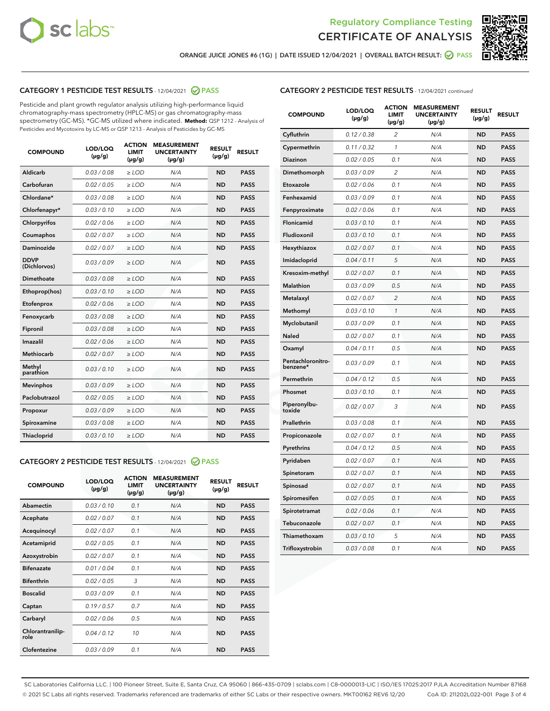



ORANGE JUICE JONES #6 (1G) | DATE ISSUED 12/04/2021 | OVERALL BATCH RESULT: @ PASS

# CATEGORY 1 PESTICIDE TEST RESULTS - 12/04/2021 2 PASS

Pesticide and plant growth regulator analysis utilizing high-performance liquid chromatography-mass spectrometry (HPLC-MS) or gas chromatography-mass spectrometry (GC-MS). \*GC-MS utilized where indicated. **Method:** QSP 1212 - Analysis of Pesticides and Mycotoxins by LC-MS or QSP 1213 - Analysis of Pesticides by GC-MS

| <b>Aldicarb</b><br>0.03 / 0.08<br><b>ND</b><br>$\ge$ LOD<br>N/A<br><b>PASS</b><br>Carbofuran<br>0.02/0.05<br>$\ge$ LOD<br>N/A<br><b>ND</b><br><b>PASS</b><br>Chlordane*<br>0.03 / 0.08<br><b>ND</b><br>$>$ LOD<br>N/A<br><b>PASS</b><br>0.03/0.10<br><b>ND</b><br><b>PASS</b><br>Chlorfenapyr*<br>$\geq$ LOD<br>N/A<br>0.02 / 0.06<br>N/A<br><b>ND</b><br><b>PASS</b><br>Chlorpyrifos<br>$\geq$ LOD<br>0.02 / 0.07<br>N/A<br><b>ND</b><br><b>PASS</b><br>Coumaphos<br>$>$ LOD<br>Daminozide<br>0.02 / 0.07<br>$\ge$ LOD<br>N/A<br><b>ND</b><br><b>PASS</b><br><b>DDVP</b><br>0.03/0.09<br>$\ge$ LOD<br>N/A<br><b>ND</b><br><b>PASS</b><br>(Dichlorvos)<br>Dimethoate<br><b>ND</b><br><b>PASS</b><br>0.03 / 0.08<br>$>$ LOD<br>N/A<br>0.03/0.10<br>Ethoprop(hos)<br>$\ge$ LOD<br>N/A<br><b>ND</b><br><b>PASS</b><br>0.02 / 0.06<br>$\ge$ LOD<br>N/A<br><b>ND</b><br><b>PASS</b><br>Etofenprox<br>Fenoxycarb<br>0.03 / 0.08<br>$>$ LOD<br>N/A<br><b>ND</b><br><b>PASS</b><br>0.03 / 0.08<br><b>ND</b><br><b>PASS</b><br>Fipronil<br>$\ge$ LOD<br>N/A<br>Imazalil<br>0.02 / 0.06<br>$>$ LOD<br>N/A<br><b>ND</b><br><b>PASS</b><br>0.02 / 0.07<br>Methiocarb<br>N/A<br><b>ND</b><br>$>$ LOD<br><b>PASS</b><br>Methyl<br>0.03/0.10<br>$\ge$ LOD<br>N/A<br><b>ND</b><br><b>PASS</b><br>parathion<br>0.03/0.09<br>$\ge$ LOD<br>N/A<br><b>ND</b><br><b>PASS</b><br><b>Mevinphos</b><br>Paclobutrazol<br>0.02 / 0.05<br>$\ge$ LOD<br>N/A<br><b>ND</b><br><b>PASS</b><br>0.03/0.09<br>N/A<br>$\ge$ LOD<br><b>ND</b><br><b>PASS</b><br>Propoxur<br>0.03 / 0.08<br><b>ND</b><br><b>PASS</b><br>Spiroxamine<br>$\ge$ LOD<br>N/A<br><b>PASS</b><br>Thiacloprid<br>0.03/0.10<br>$\ge$ LOD<br>N/A<br><b>ND</b> | <b>COMPOUND</b> | LOD/LOQ<br>$(\mu g/g)$ | <b>ACTION</b><br>LIMIT<br>$(\mu g/g)$ | <b>MEASUREMENT</b><br><b>UNCERTAINTY</b><br>$(\mu g/g)$ | <b>RESULT</b><br>$(\mu g/g)$ | <b>RESULT</b> |
|------------------------------------------------------------------------------------------------------------------------------------------------------------------------------------------------------------------------------------------------------------------------------------------------------------------------------------------------------------------------------------------------------------------------------------------------------------------------------------------------------------------------------------------------------------------------------------------------------------------------------------------------------------------------------------------------------------------------------------------------------------------------------------------------------------------------------------------------------------------------------------------------------------------------------------------------------------------------------------------------------------------------------------------------------------------------------------------------------------------------------------------------------------------------------------------------------------------------------------------------------------------------------------------------------------------------------------------------------------------------------------------------------------------------------------------------------------------------------------------------------------------------------------------------------------------------------------------------------------------------------------------------------------------------------------------------|-----------------|------------------------|---------------------------------------|---------------------------------------------------------|------------------------------|---------------|
|                                                                                                                                                                                                                                                                                                                                                                                                                                                                                                                                                                                                                                                                                                                                                                                                                                                                                                                                                                                                                                                                                                                                                                                                                                                                                                                                                                                                                                                                                                                                                                                                                                                                                                |                 |                        |                                       |                                                         |                              |               |
|                                                                                                                                                                                                                                                                                                                                                                                                                                                                                                                                                                                                                                                                                                                                                                                                                                                                                                                                                                                                                                                                                                                                                                                                                                                                                                                                                                                                                                                                                                                                                                                                                                                                                                |                 |                        |                                       |                                                         |                              |               |
|                                                                                                                                                                                                                                                                                                                                                                                                                                                                                                                                                                                                                                                                                                                                                                                                                                                                                                                                                                                                                                                                                                                                                                                                                                                                                                                                                                                                                                                                                                                                                                                                                                                                                                |                 |                        |                                       |                                                         |                              |               |
|                                                                                                                                                                                                                                                                                                                                                                                                                                                                                                                                                                                                                                                                                                                                                                                                                                                                                                                                                                                                                                                                                                                                                                                                                                                                                                                                                                                                                                                                                                                                                                                                                                                                                                |                 |                        |                                       |                                                         |                              |               |
|                                                                                                                                                                                                                                                                                                                                                                                                                                                                                                                                                                                                                                                                                                                                                                                                                                                                                                                                                                                                                                                                                                                                                                                                                                                                                                                                                                                                                                                                                                                                                                                                                                                                                                |                 |                        |                                       |                                                         |                              |               |
|                                                                                                                                                                                                                                                                                                                                                                                                                                                                                                                                                                                                                                                                                                                                                                                                                                                                                                                                                                                                                                                                                                                                                                                                                                                                                                                                                                                                                                                                                                                                                                                                                                                                                                |                 |                        |                                       |                                                         |                              |               |
|                                                                                                                                                                                                                                                                                                                                                                                                                                                                                                                                                                                                                                                                                                                                                                                                                                                                                                                                                                                                                                                                                                                                                                                                                                                                                                                                                                                                                                                                                                                                                                                                                                                                                                |                 |                        |                                       |                                                         |                              |               |
|                                                                                                                                                                                                                                                                                                                                                                                                                                                                                                                                                                                                                                                                                                                                                                                                                                                                                                                                                                                                                                                                                                                                                                                                                                                                                                                                                                                                                                                                                                                                                                                                                                                                                                |                 |                        |                                       |                                                         |                              |               |
|                                                                                                                                                                                                                                                                                                                                                                                                                                                                                                                                                                                                                                                                                                                                                                                                                                                                                                                                                                                                                                                                                                                                                                                                                                                                                                                                                                                                                                                                                                                                                                                                                                                                                                |                 |                        |                                       |                                                         |                              |               |
|                                                                                                                                                                                                                                                                                                                                                                                                                                                                                                                                                                                                                                                                                                                                                                                                                                                                                                                                                                                                                                                                                                                                                                                                                                                                                                                                                                                                                                                                                                                                                                                                                                                                                                |                 |                        |                                       |                                                         |                              |               |
|                                                                                                                                                                                                                                                                                                                                                                                                                                                                                                                                                                                                                                                                                                                                                                                                                                                                                                                                                                                                                                                                                                                                                                                                                                                                                                                                                                                                                                                                                                                                                                                                                                                                                                |                 |                        |                                       |                                                         |                              |               |
|                                                                                                                                                                                                                                                                                                                                                                                                                                                                                                                                                                                                                                                                                                                                                                                                                                                                                                                                                                                                                                                                                                                                                                                                                                                                                                                                                                                                                                                                                                                                                                                                                                                                                                |                 |                        |                                       |                                                         |                              |               |
|                                                                                                                                                                                                                                                                                                                                                                                                                                                                                                                                                                                                                                                                                                                                                                                                                                                                                                                                                                                                                                                                                                                                                                                                                                                                                                                                                                                                                                                                                                                                                                                                                                                                                                |                 |                        |                                       |                                                         |                              |               |
|                                                                                                                                                                                                                                                                                                                                                                                                                                                                                                                                                                                                                                                                                                                                                                                                                                                                                                                                                                                                                                                                                                                                                                                                                                                                                                                                                                                                                                                                                                                                                                                                                                                                                                |                 |                        |                                       |                                                         |                              |               |
|                                                                                                                                                                                                                                                                                                                                                                                                                                                                                                                                                                                                                                                                                                                                                                                                                                                                                                                                                                                                                                                                                                                                                                                                                                                                                                                                                                                                                                                                                                                                                                                                                                                                                                |                 |                        |                                       |                                                         |                              |               |
|                                                                                                                                                                                                                                                                                                                                                                                                                                                                                                                                                                                                                                                                                                                                                                                                                                                                                                                                                                                                                                                                                                                                                                                                                                                                                                                                                                                                                                                                                                                                                                                                                                                                                                |                 |                        |                                       |                                                         |                              |               |
|                                                                                                                                                                                                                                                                                                                                                                                                                                                                                                                                                                                                                                                                                                                                                                                                                                                                                                                                                                                                                                                                                                                                                                                                                                                                                                                                                                                                                                                                                                                                                                                                                                                                                                |                 |                        |                                       |                                                         |                              |               |
|                                                                                                                                                                                                                                                                                                                                                                                                                                                                                                                                                                                                                                                                                                                                                                                                                                                                                                                                                                                                                                                                                                                                                                                                                                                                                                                                                                                                                                                                                                                                                                                                                                                                                                |                 |                        |                                       |                                                         |                              |               |
|                                                                                                                                                                                                                                                                                                                                                                                                                                                                                                                                                                                                                                                                                                                                                                                                                                                                                                                                                                                                                                                                                                                                                                                                                                                                                                                                                                                                                                                                                                                                                                                                                                                                                                |                 |                        |                                       |                                                         |                              |               |
|                                                                                                                                                                                                                                                                                                                                                                                                                                                                                                                                                                                                                                                                                                                                                                                                                                                                                                                                                                                                                                                                                                                                                                                                                                                                                                                                                                                                                                                                                                                                                                                                                                                                                                |                 |                        |                                       |                                                         |                              |               |
|                                                                                                                                                                                                                                                                                                                                                                                                                                                                                                                                                                                                                                                                                                                                                                                                                                                                                                                                                                                                                                                                                                                                                                                                                                                                                                                                                                                                                                                                                                                                                                                                                                                                                                |                 |                        |                                       |                                                         |                              |               |

#### CATEGORY 2 PESTICIDE TEST RESULTS - 12/04/2021 @ PASS

| <b>COMPOUND</b>          | LOD/LOQ<br>$(\mu g/g)$ | <b>ACTION</b><br><b>LIMIT</b><br>$(\mu g/g)$ | <b>MEASUREMENT</b><br><b>UNCERTAINTY</b><br>$(\mu g/g)$ | <b>RESULT</b><br>$(\mu g/g)$ | <b>RESULT</b> |
|--------------------------|------------------------|----------------------------------------------|---------------------------------------------------------|------------------------------|---------------|
| Abamectin                | 0.03/0.10              | 0.1                                          | N/A                                                     | <b>ND</b>                    | <b>PASS</b>   |
| Acephate                 | 0.02/0.07              | 0.1                                          | N/A                                                     | <b>ND</b>                    | <b>PASS</b>   |
| Acequinocyl              | 0.02/0.07              | 0.1                                          | N/A                                                     | <b>ND</b>                    | <b>PASS</b>   |
| Acetamiprid              | 0.02/0.05              | 0.1                                          | N/A                                                     | <b>ND</b>                    | <b>PASS</b>   |
| Azoxystrobin             | 0.02/0.07              | 0.1                                          | N/A                                                     | <b>ND</b>                    | <b>PASS</b>   |
| <b>Bifenazate</b>        | 0.01/0.04              | 0.1                                          | N/A                                                     | <b>ND</b>                    | <b>PASS</b>   |
| <b>Bifenthrin</b>        | 0.02 / 0.05            | 3                                            | N/A                                                     | <b>ND</b>                    | <b>PASS</b>   |
| <b>Boscalid</b>          | 0.03/0.09              | 0.1                                          | N/A                                                     | <b>ND</b>                    | <b>PASS</b>   |
| Captan                   | 0.19/0.57              | 0.7                                          | N/A                                                     | <b>ND</b>                    | <b>PASS</b>   |
| Carbaryl                 | 0.02/0.06              | 0.5                                          | N/A                                                     | <b>ND</b>                    | <b>PASS</b>   |
| Chlorantranilip-<br>role | 0.04/0.12              | 10                                           | N/A                                                     | <b>ND</b>                    | <b>PASS</b>   |
| Clofentezine             | 0.03/0.09              | 0.1                                          | N/A                                                     | <b>ND</b>                    | <b>PASS</b>   |

| <b>CATEGORY 2 PESTICIDE TEST RESULTS</b> - 12/04/2021 continued |  |
|-----------------------------------------------------------------|--|
|                                                                 |  |

| <b>COMPOUND</b>               | LOD/LOQ<br>(µg/g) | <b>ACTION</b><br>LIMIT<br>(µg/g) | <b>MEASUREMENT</b><br><b>UNCERTAINTY</b><br>(µg/g) | <b>RESULT</b><br>(µg/g) | <b>RESULT</b> |
|-------------------------------|-------------------|----------------------------------|----------------------------------------------------|-------------------------|---------------|
| Cyfluthrin                    | 0.12 / 0.38       | $\overline{c}$                   | N/A                                                | <b>ND</b>               | <b>PASS</b>   |
| Cypermethrin                  | 0.11/0.32         | 1                                | N/A                                                | <b>ND</b>               | <b>PASS</b>   |
| <b>Diazinon</b>               | 0.02 / 0.05       | 0.1                              | N/A                                                | <b>ND</b>               | <b>PASS</b>   |
| Dimethomorph                  | 0.03 / 0.09       | 2                                | N/A                                                | <b>ND</b>               | <b>PASS</b>   |
| Etoxazole                     | 0.02 / 0.06       | 0.1                              | N/A                                                | <b>ND</b>               | <b>PASS</b>   |
| Fenhexamid                    | 0.03 / 0.09       | 0.1                              | N/A                                                | <b>ND</b>               | <b>PASS</b>   |
| Fenpyroximate                 | 0.02 / 0.06       | 0.1                              | N/A                                                | <b>ND</b>               | <b>PASS</b>   |
| Flonicamid                    | 0.03 / 0.10       | 0.1                              | N/A                                                | <b>ND</b>               | <b>PASS</b>   |
| Fludioxonil                   | 0.03/0.10         | 0.1                              | N/A                                                | <b>ND</b>               | <b>PASS</b>   |
| Hexythiazox                   | 0.02 / 0.07       | 0.1                              | N/A                                                | <b>ND</b>               | <b>PASS</b>   |
| Imidacloprid                  | 0.04 / 0.11       | 5                                | N/A                                                | <b>ND</b>               | <b>PASS</b>   |
| Kresoxim-methyl               | 0.02 / 0.07       | 0.1                              | N/A                                                | <b>ND</b>               | <b>PASS</b>   |
| <b>Malathion</b>              | 0.03 / 0.09       | 0.5                              | N/A                                                | <b>ND</b>               | <b>PASS</b>   |
| Metalaxyl                     | 0.02 / 0.07       | $\overline{c}$                   | N/A                                                | <b>ND</b>               | <b>PASS</b>   |
| Methomyl                      | 0.03 / 0.10       | 1                                | N/A                                                | <b>ND</b>               | <b>PASS</b>   |
| Myclobutanil                  | 0.03/0.09         | 0.1                              | N/A                                                | <b>ND</b>               | <b>PASS</b>   |
| Naled                         | 0.02 / 0.07       | 0.1                              | N/A                                                | <b>ND</b>               | <b>PASS</b>   |
| Oxamyl                        | 0.04 / 0.11       | 0.5                              | N/A                                                | <b>ND</b>               | <b>PASS</b>   |
| Pentachloronitro-<br>benzene* | 0.03/0.09         | 0.1                              | N/A                                                | <b>ND</b>               | <b>PASS</b>   |
| Permethrin                    | 0.04 / 0.12       | 0.5                              | N/A                                                | <b>ND</b>               | <b>PASS</b>   |
| Phosmet                       | 0.03 / 0.10       | 0.1                              | N/A                                                | <b>ND</b>               | <b>PASS</b>   |
| Piperonylbu-<br>toxide        | 0.02 / 0.07       | 3                                | N/A                                                | <b>ND</b>               | <b>PASS</b>   |
| Prallethrin                   | 0.03 / 0.08       | 0.1                              | N/A                                                | <b>ND</b>               | <b>PASS</b>   |
| Propiconazole                 | 0.02 / 0.07       | 0.1                              | N/A                                                | <b>ND</b>               | <b>PASS</b>   |
| Pyrethrins                    | 0.04 / 0.12       | 0.5                              | N/A                                                | <b>ND</b>               | <b>PASS</b>   |
| Pyridaben                     | 0.02 / 0.07       | 0.1                              | N/A                                                | <b>ND</b>               | <b>PASS</b>   |
| Spinetoram                    | 0.02 / 0.07       | 0.1                              | N/A                                                | <b>ND</b>               | <b>PASS</b>   |
| Spinosad                      | 0.02 / 0.07       | 0.1                              | N/A                                                | <b>ND</b>               | <b>PASS</b>   |
| Spiromesifen                  | 0.02 / 0.05       | 0.1                              | N/A                                                | <b>ND</b>               | <b>PASS</b>   |
| Spirotetramat                 | 0.02 / 0.06       | 0.1                              | N/A                                                | <b>ND</b>               | <b>PASS</b>   |
| Tebuconazole                  | 0.02 / 0.07       | 0.1                              | N/A                                                | <b>ND</b>               | <b>PASS</b>   |
| Thiamethoxam                  | 0.03 / 0.10       | 5                                | N/A                                                | <b>ND</b>               | <b>PASS</b>   |
| Trifloxystrobin               | 0.03 / 0.08       | 0.1                              | N/A                                                | <b>ND</b>               | <b>PASS</b>   |

SC Laboratories California LLC. | 100 Pioneer Street, Suite E, Santa Cruz, CA 95060 | 866-435-0709 | sclabs.com | C8-0000013-LIC | ISO/IES 17025:2017 PJLA Accreditation Number 87168 © 2021 SC Labs all rights reserved. Trademarks referenced are trademarks of either SC Labs or their respective owners. MKT00162 REV6 12/20 CoA ID: 211202L022-001 Page 3 of 4